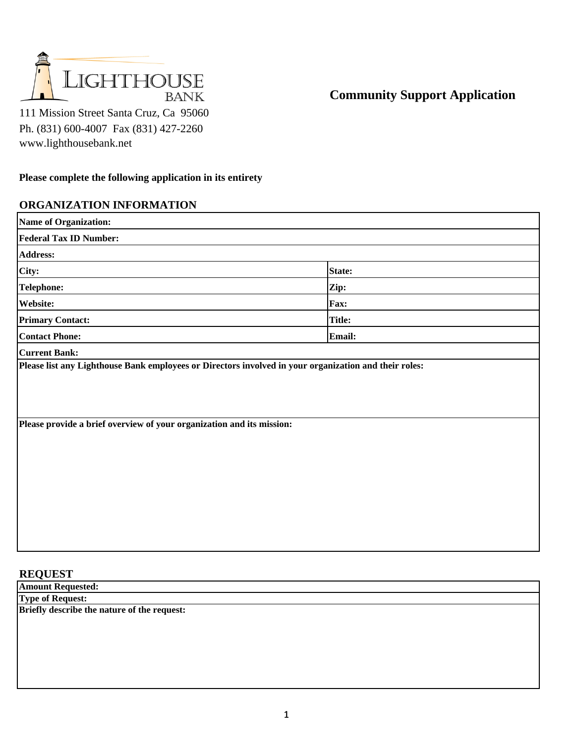

**Community Support Application**

111 Mission Street Santa Cruz, Ca 95060 Ph. (831) 600-4007 Fax (831) 427-2260 www.lighthousebank.net

## **Please complete the following application in its entirety**

## **ORGANIZATION INFORMATION**

| <b>Name of Organization:</b>                                                                                                  |               |
|-------------------------------------------------------------------------------------------------------------------------------|---------------|
| <b>Federal Tax ID Number:</b>                                                                                                 |               |
| <b>Address:</b>                                                                                                               |               |
| City:                                                                                                                         | <b>State:</b> |
| <b>Telephone:</b>                                                                                                             | Zip:          |
| <b>Website:</b>                                                                                                               | <b>Fax:</b>   |
| <b>Primary Contact:</b>                                                                                                       | <b>Title:</b> |
| <b>Contact Phone:</b>                                                                                                         | <b>Email:</b> |
| <b>Current Bank:</b><br>Please list any Lighthouse Bank employees or Directors involved in your organization and their roles: |               |
| Please provide a brief overview of your organization and its mission:                                                         |               |

## **REQUEST**

**Amount Requested: Type of Request:** 

**Briefly describe the nature of the request:**